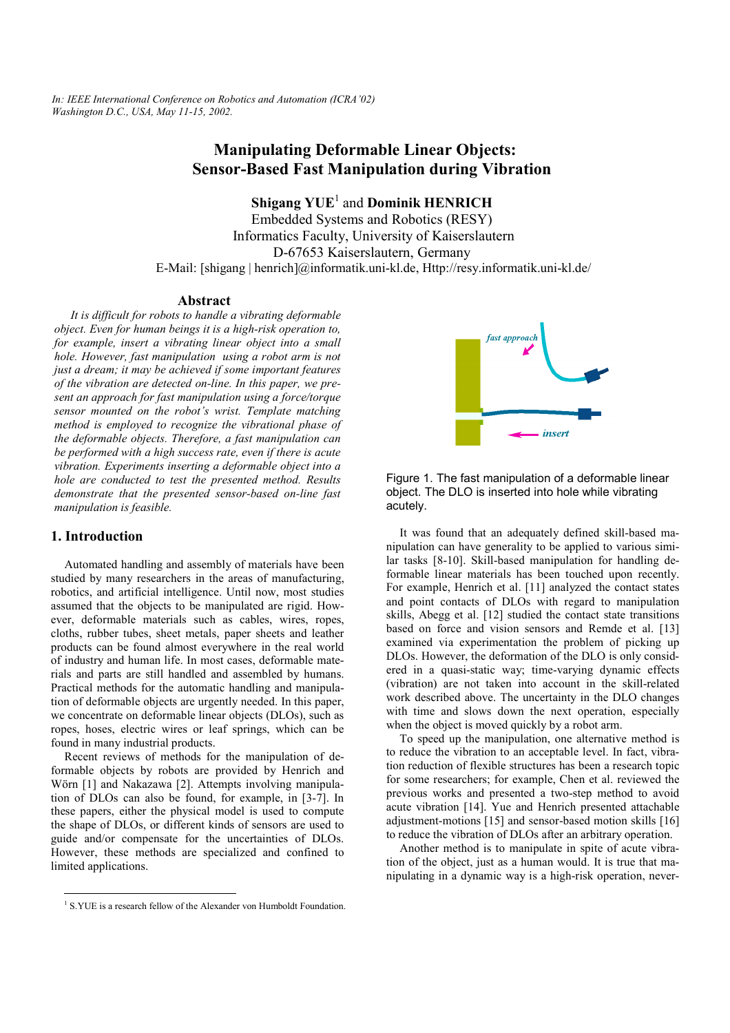*In: IEEE International Conference on Robotics and Automation (ICRA'02) Washington D.C., USA, May 11-15, 2002.*

# **Manipulating Deformable Linear Objects: Sensor-Based Fast Manipulation during Vibration**

**Shigang YUE<sup>1</sup> and Dominik HENRICH** 

Embedded Systems and Robotics (RESY) Informatics Faculty, University of Kaiserslautern D-67653 Kaiserslautern, Germany E-Mail: [shigang | henrich]@informatik.uni-kl.de, Http://resy.informatik.uni-kl.de/

#### **Abstract**

*It is difficult for robots to handle a vibrating deformable object. Even for human beings it is a high-risk operation to, for example, insert a vibrating linear object into a small hole. However, fast manipulation using a robot arm is not just a dream; it may be achieved if some important features of the vibration are detected on-line. In this paper, we present an approach for fast manipulation using a force/torque sensor mounted on the robot's wrist. Template matching method is employed to recognize the vibrational phase of the deformable objects. Therefore, a fast manipulation can be performed with a high success rate, even if there is acute vibration. Experiments inserting a deformable object into a hole are conducted to test the presented method. Results demonstrate that the presented sensor-based on-line fast manipulation is feasible.* 

#### **1. Introduction**

Automated handling and assembly of materials have been studied by many researchers in the areas of manufacturing, robotics, and artificial intelligence. Until now, most studies assumed that the objects to be manipulated are rigid. However, deformable materials such as cables, wires, ropes, cloths, rubber tubes, sheet metals, paper sheets and leather products can be found almost everywhere in the real world of industry and human life. In most cases, deformable materials and parts are still handled and assembled by humans. Practical methods for the automatic handling and manipulation of deformable objects are urgently needed. In this paper, we concentrate on deformable linear objects (DLOs), such as ropes, hoses, electric wires or leaf springs, which can be found in many industrial products.

Recent reviews of methods for the manipulation of deformable objects by robots are provided by Henrich and Wörn [1] and Nakazawa [2]. Attempts involving manipulation of DLOs can also be found, for example, in [3-7]. In these papers, either the physical model is used to compute the shape of DLOs, or different kinds of sensors are used to guide and/or compensate for the uncertainties of DLOs. However, these methods are specialized and confined to limited applications.





Figure 1. The fast manipulation of a deformable linear object. The DLO is inserted into hole while vibrating acutely.

It was found that an adequately defined skill-based manipulation can have generality to be applied to various similar tasks [8-10]. Skill-based manipulation for handling deformable linear materials has been touched upon recently. For example, Henrich et al. [11] analyzed the contact states and point contacts of DLOs with regard to manipulation skills, Abegg et al. [12] studied the contact state transitions based on force and vision sensors and Remde et al. [13] examined via experimentation the problem of picking up DLOs. However, the deformation of the DLO is only considered in a quasi-static way; time-varying dynamic effects (vibration) are not taken into account in the skill-related work described above. The uncertainty in the DLO changes with time and slows down the next operation, especially when the object is moved quickly by a robot arm.

To speed up the manipulation, one alternative method is to reduce the vibration to an acceptable level. In fact, vibration reduction of flexible structures has been a research topic for some researchers; for example, Chen et al. reviewed the previous works and presented a two-step method to avoid acute vibration [14]. Yue and Henrich presented attachable adjustment-motions [15] and sensor-based motion skills [16] to reduce the vibration of DLOs after an arbitrary operation.

Another method is to manipulate in spite of acute vibration of the object, just as a human would. It is true that manipulating in a dynamic way is a high-risk operation, never-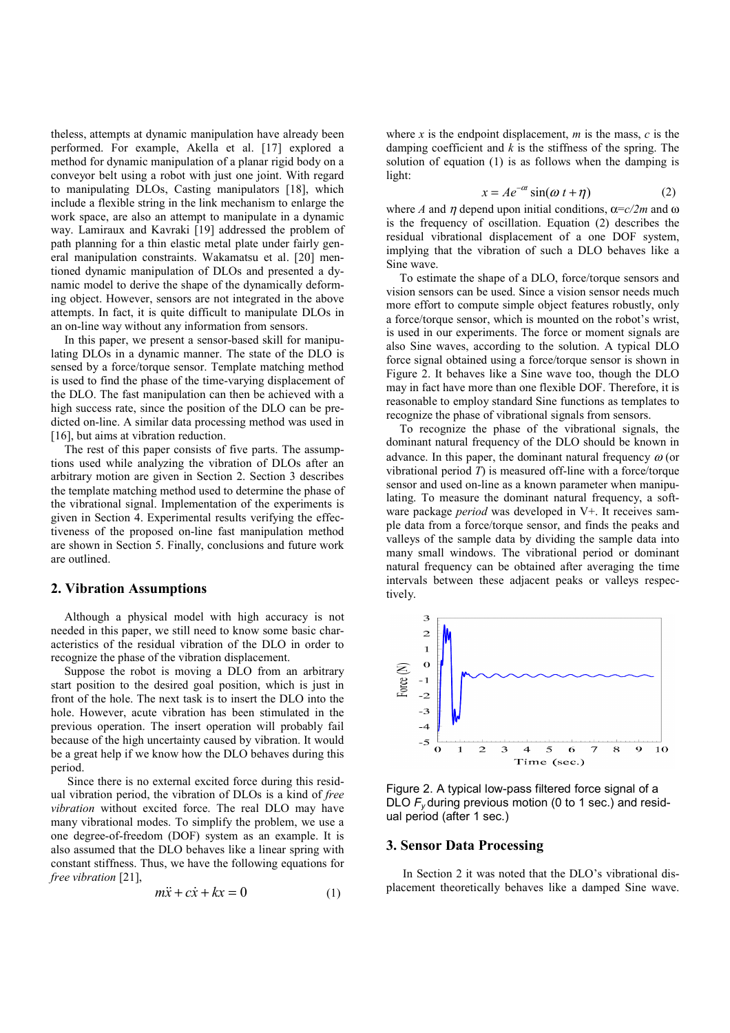theless, attempts at dynamic manipulation have already been performed. For example, Akella et al. [17] explored a method for dynamic manipulation of a planar rigid body on a conveyor belt using a robot with just one joint. With regard to manipulating DLOs, Casting manipulators [18], which include a flexible string in the link mechanism to enlarge the work space, are also an attempt to manipulate in a dynamic way. Lamiraux and Kavraki [19] addressed the problem of path planning for a thin elastic metal plate under fairly general manipulation constraints. Wakamatsu et al. [20] mentioned dynamic manipulation of DLOs and presented a dynamic model to derive the shape of the dynamically deforming object. However, sensors are not integrated in the above attempts. In fact, it is quite difficult to manipulate DLOs in an on-line way without any information from sensors.

In this paper, we present a sensor-based skill for manipulating DLOs in a dynamic manner. The state of the DLO is sensed by a force/torque sensor. Template matching method is used to find the phase of the time-varying displacement of the DLO. The fast manipulation can then be achieved with a high success rate, since the position of the DLO can be predicted on-line. A similar data processing method was used in [16], but aims at vibration reduction.

The rest of this paper consists of five parts. The assumptions used while analyzing the vibration of DLOs after an arbitrary motion are given in Section 2. Section 3 describes the template matching method used to determine the phase of the vibrational signal. Implementation of the experiments is given in Section 4. Experimental results verifying the effectiveness of the proposed on-line fast manipulation method are shown in Section 5. Finally, conclusions and future work are outlined.

#### **2. Vibration Assumptions**

Although a physical model with high accuracy is not needed in this paper, we still need to know some basic characteristics of the residual vibration of the DLO in order to recognize the phase of the vibration displacement.

Suppose the robot is moving a DLO from an arbitrary start position to the desired goal position, which is just in front of the hole. The next task is to insert the DLO into the hole. However, acute vibration has been stimulated in the previous operation. The insert operation will probably fail because of the high uncertainty caused by vibration. It would be a great help if we know how the DLO behaves during this period.

 Since there is no external excited force during this residual vibration period, the vibration of DLOs is a kind of *free vibration* without excited force. The real DLO may have many vibrational modes. To simplify the problem, we use a one degree-of-freedom (DOF) system as an example. It is also assumed that the DLO behaves like a linear spring with constant stiffness. Thus, we have the following equations for *free vibration* [21],

$$
m\ddot{x} + c\dot{x} + kx = 0 \tag{1}
$$

where *x* is the endpoint displacement,  $m$  is the mass,  $c$  is the damping coefficient and *k* is the stiffness of the spring. The solution of equation (1) is as follows when the damping is light:

$$
x = Ae^{-\alpha t} \sin(\omega t + \eta)
$$
 (2)

where *A* and *n* depend upon initial conditions,  $\alpha = c/2m$  and  $\omega$ is the frequency of oscillation. Equation (2) describes the residual vibrational displacement of a one DOF system, implying that the vibration of such a DLO behaves like a Sine wave.

To estimate the shape of a DLO, force/torque sensors and vision sensors can be used. Since a vision sensor needs much more effort to compute simple object features robustly, only a force/torque sensor, which is mounted on the robot's wrist, is used in our experiments. The force or moment signals are also Sine waves, according to the solution. A typical DLO force signal obtained using a force/torque sensor is shown in Figure 2. It behaves like a Sine wave too, though the DLO may in fact have more than one flexible DOF. Therefore, it is reasonable to employ standard Sine functions as templates to recognize the phase of vibrational signals from sensors.

To recognize the phase of the vibrational signals, the dominant natural frequency of the DLO should be known in advance. In this paper, the dominant natural frequency  $\omega$  (or vibrational period *T*) is measured off-line with a force/torque sensor and used on-line as a known parameter when manipulating. To measure the dominant natural frequency, a software package *period* was developed in V+. It receives sample data from a force/torque sensor, and finds the peaks and valleys of the sample data by dividing the sample data into many small windows. The vibrational period or dominant natural frequency can be obtained after averaging the time intervals between these adjacent peaks or valleys respectively.



Figure 2. A typical low-pass filtered force signal of a DLO F<sub>y</sub> during previous motion (0 to 1 sec.) and residual period (after 1 sec.)

#### **3. Sensor Data Processing**

 In Section 2 it was noted that the DLO's vibrational displacement theoretically behaves like a damped Sine wave.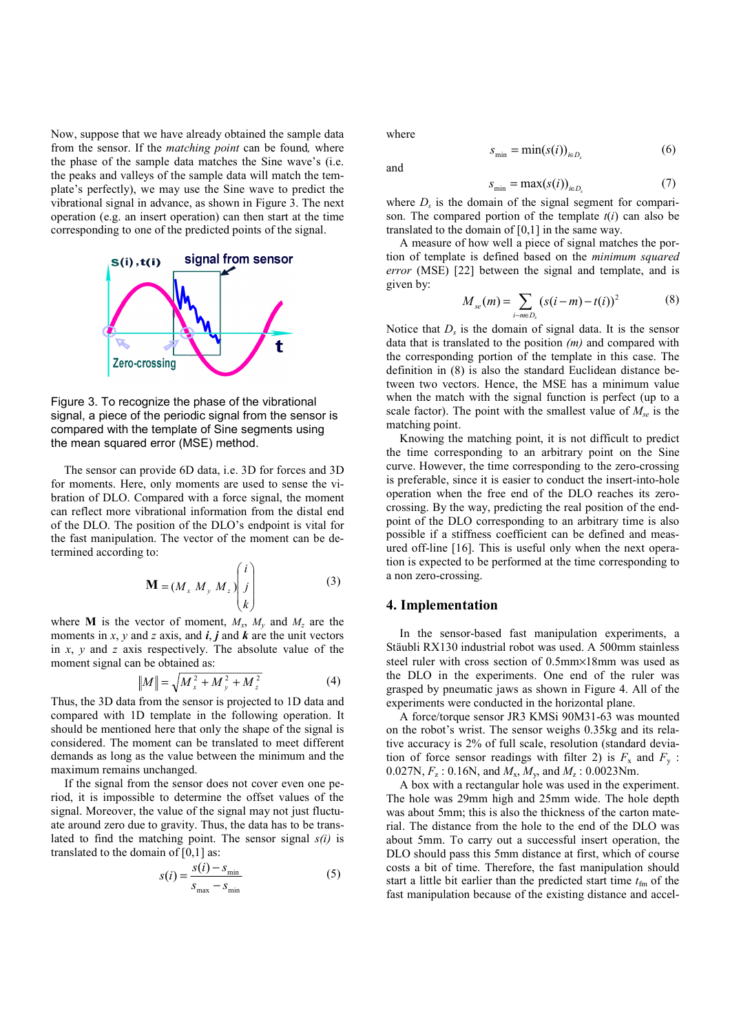Now, suppose that we have already obtained the sample data from the sensor. If the *matching point* can be found*,* where the phase of the sample data matches the Sine wave's (i.e. the peaks and valleys of the sample data will match the template's perfectly), we may use the Sine wave to predict the vibrational signal in advance, as shown in Figure 3. The next operation (e.g. an insert operation) can then start at the time corresponding to one of the predicted points of the signal.



Figure 3. To recognize the phase of the vibrational signal, a piece of the periodic signal from the sensor is compared with the template of Sine segments using the mean squared error (MSE) method.

 The sensor can provide 6D data, i.e. 3D for forces and 3D for moments. Here, only moments are used to sense the vibration of DLO. Compared with a force signal, the moment can reflect more vibrational information from the distal end of the DLO. The position of the DLO's endpoint is vital for the fast manipulation. The vector of the moment can be determined according to:

$$
\mathbf{M} = (M_x M_y M_z) \begin{pmatrix} i \\ j \\ k \end{pmatrix}
$$
 (3)

where **M** is the vector of moment,  $M_x$ ,  $M_y$  and  $M_z$  are the moments in  $x$ ,  $y$  and  $z$  axis, and  $\boldsymbol{i}$ ,  $\boldsymbol{j}$  and  $\boldsymbol{k}$  are the unit vectors in *x*, *y* and *z* axis respectively. The absolute value of the moment signal can be obtained as:

$$
||M|| = \sqrt{M_x^2 + M_y^2 + M_z^2}
$$
 (4)

Thus, the 3D data from the sensor is projected to 1D data and compared with 1D template in the following operation. It should be mentioned here that only the shape of the signal is considered. The moment can be translated to meet different demands as long as the value between the minimum and the maximum remains unchanged.

If the signal from the sensor does not cover even one period, it is impossible to determine the offset values of the signal. Moreover, the value of the signal may not just fluctuate around zero due to gravity. Thus, the data has to be translated to find the matching point. The sensor signal *s(i)* is translated to the domain of  $[0,1]$  as:

$$
s(i) = \frac{s(i) - s_{\min}}{s_{\max} - s_{\min}}
$$
 (5)

where

and

$$
s_{\min} = \min(s(i))_{i \in D_s} \tag{6}
$$

$$
s_{\min} = \max(s(i))_{i \in D_s} \tag{7}
$$

where  $D<sub>s</sub>$  is the domain of the signal segment for comparison. The compared portion of the template *t*(*i*) can also be translated to the domain of [0,1] in the same way.

A measure of how well a piece of signal matches the portion of template is defined based on the *minimum squared error* (MSE) [22] between the signal and template, and is given by:<br> $M_{\infty}(m) = \sum_{i=1}^{n} (s(i-m) - t(i))^{2}$ 

$$
M_{se}(m) = \sum_{i-m \in D_s} (s(i-m) - t(i))^2
$$
 (8)

Notice that  $D_s$  is the domain of signal data. It is the sensor data that is translated to the position *(m)* and compared with the corresponding portion of the template in this case. The definition in (8) is also the standard Euclidean distance between two vectors. Hence, the MSE has a minimum value when the match with the signal function is perfect (up to a scale factor). The point with the smallest value of  $M_{se}$  is the matching point.

Knowing the matching point, it is not difficult to predict the time corresponding to an arbitrary point on the Sine curve. However, the time corresponding to the zero-crossing is preferable, since it is easier to conduct the insert-into-hole operation when the free end of the DLO reaches its zerocrossing. By the way, predicting the real position of the endpoint of the DLO corresponding to an arbitrary time is also possible if a stiffness coefficient can be defined and measured off-line [16]. This is useful only when the next operation is expected to be performed at the time corresponding to a non zero-crossing.

#### **4. Implementation**

In the sensor-based fast manipulation experiments, a Stäubli RX130 industrial robot was used. A 500mm stainless steel ruler with cross section of 0.5mm×18mm was used as the DLO in the experiments. One end of the ruler was grasped by pneumatic jaws as shown in Figure 4. All of the experiments were conducted in the horizontal plane.

A force/torque sensor JR3 KMSi 90M31-63 was mounted on the robot's wrist. The sensor weighs 0.35kg and its relative accuracy is 2% of full scale, resolution (standard deviation of force sensor readings with filter 2) is  $F_x$  and  $F_y$ : 0.027N, *F*z : 0.16N, and *M*x, *M*y, and *M*z : 0.0023Nm.

A box with a rectangular hole was used in the experiment. The hole was 29mm high and 25mm wide. The hole depth was about 5mm; this is also the thickness of the carton material. The distance from the hole to the end of the DLO was about 5mm. To carry out a successful insert operation, the DLO should pass this 5mm distance at first, which of course costs a bit of time. Therefore, the fast manipulation should start a little bit earlier than the predicted start time  $t_{\text{fm}}$  of the fast manipulation because of the existing distance and accel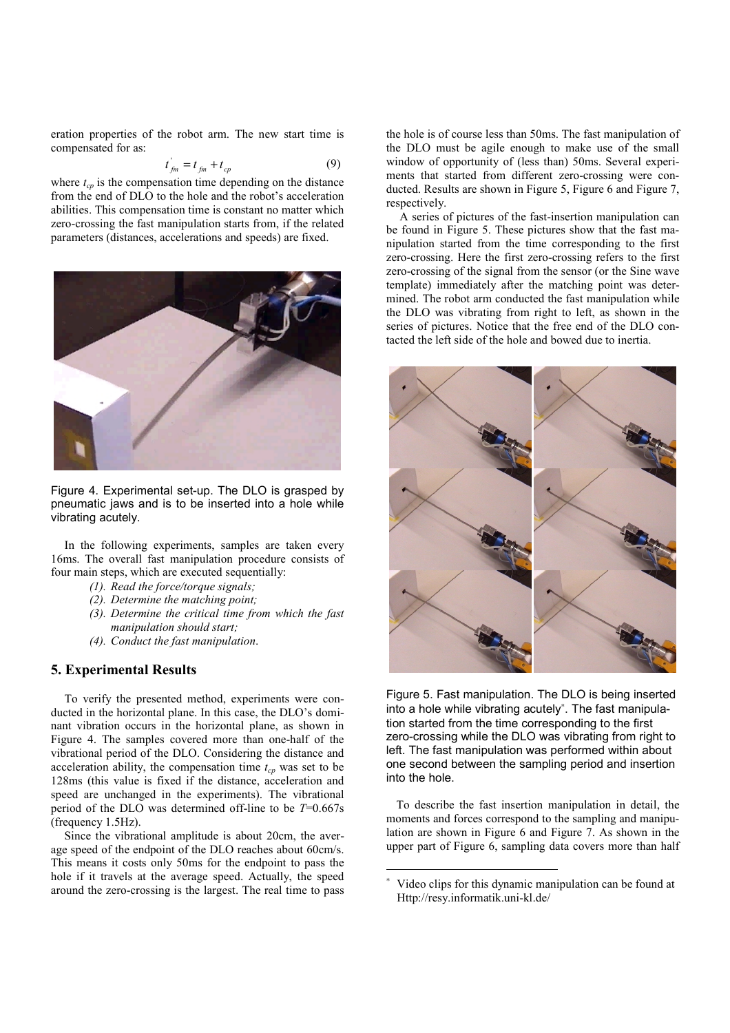eration properties of the robot arm. The new start time is compensated for as:

$$
t_{jm} = t_{jm} + t_{cp} \tag{9}
$$

where  $t_{cp}$  is the compensation time depending on the distance from the end of DLO to the hole and the robot's acceleration abilities. This compensation time is constant no matter which zero-crossing the fast manipulation starts from, if the related parameters (distances, accelerations and speeds) are fixed.



Figure 4. Experimental set-up. The DLO is grasped by pneumatic jaws and is to be inserted into a hole while vibrating acutely.

In the following experiments, samples are taken every 16ms. The overall fast manipulation procedure consists of four main steps, which are executed sequentially:

- *(1). Read the force/torque signals;*
- *(2). Determine the matching point;*
- *(3). Determine the critical time from which the fast manipulation should start;*
- *(4). Conduct the fast manipulation*.

## **5. Experimental Results**

To verify the presented method, experiments were conducted in the horizontal plane. In this case, the DLO's dominant vibration occurs in the horizontal plane, as shown in Figure 4. The samples covered more than one-half of the vibrational period of the DLO. Considering the distance and acceleration ability, the compensation time  $t_{cp}$  was set to be 128ms (this value is fixed if the distance, acceleration and speed are unchanged in the experiments). The vibrational period of the DLO was determined off-line to be *T*=0.667s (frequency 1.5Hz).

Since the vibrational amplitude is about 20cm, the average speed of the endpoint of the DLO reaches about 60cm/s. This means it costs only 50ms for the endpoint to pass the hole if it travels at the average speed. Actually, the speed around the zero-crossing is the largest. The real time to pass the hole is of course less than 50ms. The fast manipulation of the DLO must be agile enough to make use of the small window of opportunity of (less than) 50ms. Several experiments that started from different zero-crossing were conducted. Results are shown in Figure 5, Figure 6 and Figure 7, respectively.

A series of pictures of the fast-insertion manipulation can be found in Figure 5. These pictures show that the fast manipulation started from the time corresponding to the first zero-crossing. Here the first zero-crossing refers to the first zero-crossing of the signal from the sensor (or the Sine wave template) immediately after the matching point was determined. The robot arm conducted the fast manipulation while the DLO was vibrating from right to left, as shown in the series of pictures. Notice that the free end of the DLO contacted the left side of the hole and bowed due to inertia.



Figure 5. Fast manipulation. The DLO is being inserted into a hole while vibrating acutely<sup>∗</sup> . The fast manipulation started from the time corresponding to the first zero-crossing while the DLO was vibrating from right to left. The fast manipulation was performed within about one second between the sampling period and insertion into the hole.

To describe the fast insertion manipulation in detail, the moments and forces correspond to the sampling and manipulation are shown in Figure 6 and Figure 7. As shown in the upper part of Figure 6, sampling data covers more than half

l

<sup>∗</sup> Video clips for this dynamic manipulation can be found at Http://resy.informatik.uni-kl.de/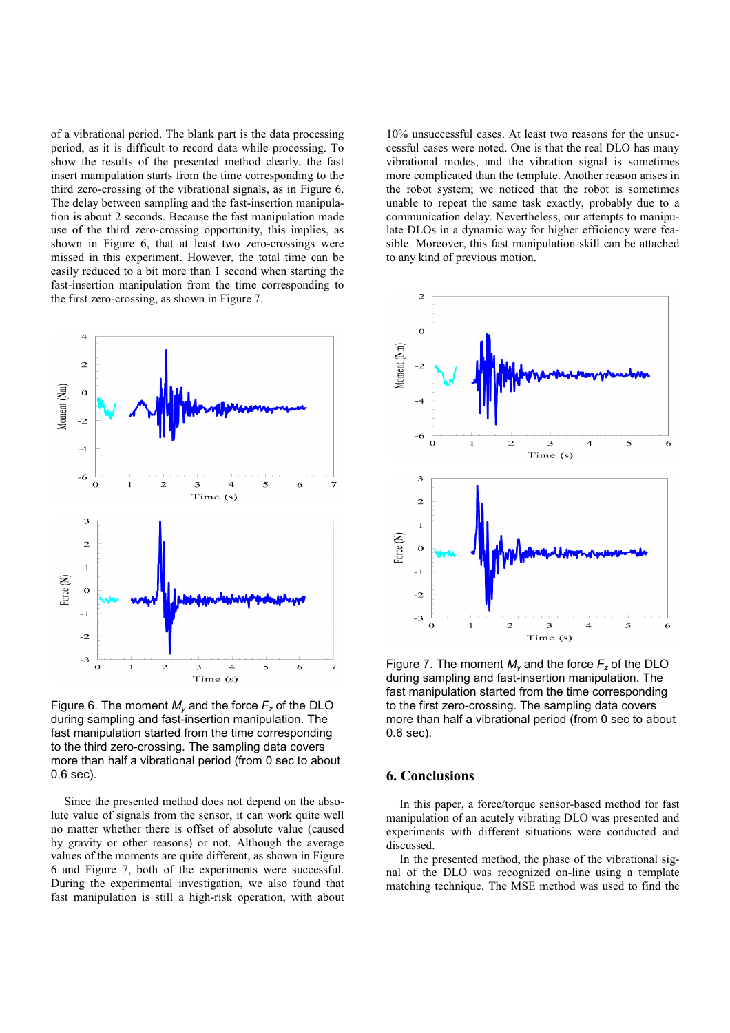of a vibrational period. The blank part is the data processing period, as it is difficult to record data while processing. To show the results of the presented method clearly, the fast insert manipulation starts from the time corresponding to the third zero-crossing of the vibrational signals, as in Figure 6. The delay between sampling and the fast-insertion manipulation is about 2 seconds. Because the fast manipulation made use of the third zero-crossing opportunity, this implies, as shown in Figure 6, that at least two zero-crossings were missed in this experiment. However, the total time can be easily reduced to a bit more than 1 second when starting the fast-insertion manipulation from the time corresponding to the first zero-crossing, as shown in Figure 7.



Figure 6. The moment  $M_v$  and the force  $F_z$  of the DLO during sampling and fast-insertion manipulation. The fast manipulation started from the time corresponding to the third zero-crossing. The sampling data covers more than half a vibrational period (from 0 sec to about 0.6 sec).

Since the presented method does not depend on the absolute value of signals from the sensor, it can work quite well no matter whether there is offset of absolute value (caused by gravity or other reasons) or not. Although the average values of the moments are quite different, as shown in Figure 6 and Figure 7, both of the experiments were successful. During the experimental investigation, we also found that fast manipulation is still a high-risk operation, with about

10% unsuccessful cases. At least two reasons for the unsuccessful cases were noted. One is that the real DLO has many vibrational modes, and the vibration signal is sometimes more complicated than the template. Another reason arises in the robot system; we noticed that the robot is sometimes unable to repeat the same task exactly, probably due to a communication delay. Nevertheless, our attempts to manipulate DLOs in a dynamic way for higher efficiency were feasible. Moreover, this fast manipulation skill can be attached to any kind of previous motion.



Figure 7. The moment  $M_v$  and the force  $F_z$  of the DLO during sampling and fast-insertion manipulation. The fast manipulation started from the time corresponding to the first zero-crossing. The sampling data covers more than half a vibrational period (from 0 sec to about 0.6 sec).

# **6. Conclusions**

In this paper, a force/torque sensor-based method for fast manipulation of an acutely vibrating DLO was presented and experiments with different situations were conducted and discussed.

In the presented method, the phase of the vibrational signal of the DLO was recognized on-line using a template matching technique. The MSE method was used to find the